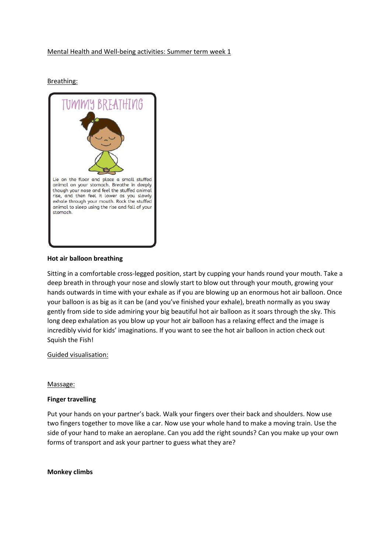## Mental Health and Well-being activities: Summer term week 1

Breathing:



### Hot air balloon breathing

Sitting in a comfortable cross-legged position, start by cupping your hands round your mouth. Take a deep breath in through your nose and slowly start to blow out through your mouth, growing your hands outwards in time with your exhale as if you are blowing up an enormous hot air balloon. Once your balloon is as big as it can be (and you've finished your exhale), breath normally as you sway gently from side to side admiring your big beautiful hot air balloon as it soars through the sky. This long deep exhalation as you blow up your hot air balloon has a relaxing effect and the image is incredibly vivid for kids' imaginations. If you want to see the hot air balloon in action check out Squish the Fish!

### Guided visualisation:

### Massage:

## Finger travelling

Put your hands on your partner's back. Walk your fingers over their back and shoulders. Now use two fingers together to move like a car. Now use your whole hand to make a moving train. Use the side of your hand to make an aeroplane. Can you add the right sounds? Can you make up your own forms of transport and ask your partner to guess what they are?

### Monkey climbs